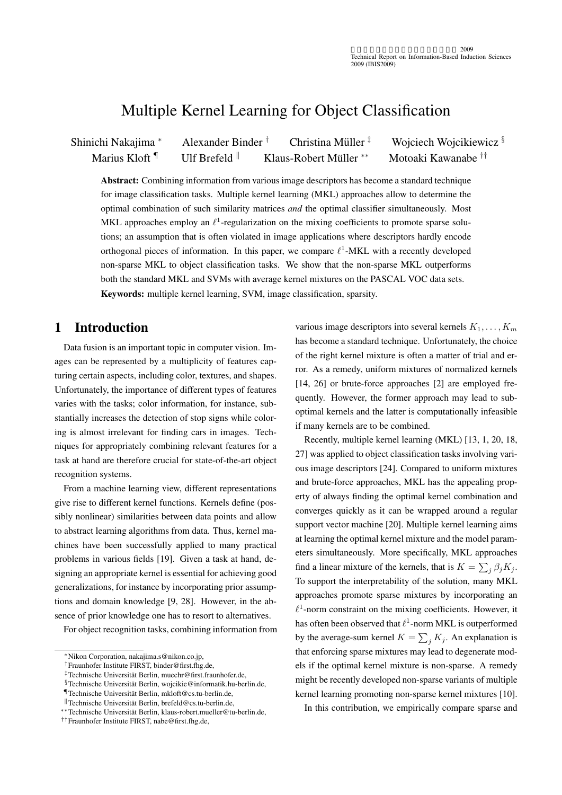# Multiple Kernel Learning for Object Classification

Shinichi Nakajima *<sup>∗</sup>* Alexander Binder *†* Christina Muller ¨ *‡* Wojciech Wojcikiewicz *§* Marius Kloft <sup>¶</sup> Ulf Brefeld <sup>∥</sup> Klaus-Robert Müller <sup>\*\*</sup> *∗∗* Motoaki Kawanabe *††*

Abstract: Combining information from various image descriptors has become a standard technique for image classification tasks. Multiple kernel learning (MKL) approaches allow to determine the optimal combination of such similarity matrices *and* the optimal classifier simultaneously. Most MKL approaches employ an  $\ell^1$ -regularization on the mixing coefficients to promote sparse solutions; an assumption that is often violated in image applications where descriptors hardly encode orthogonal pieces of information. In this paper, we compare *ℓ* 1 -MKL with a recently developed non-sparse MKL to object classification tasks. We show that the non-sparse MKL outperforms both the standard MKL and SVMs with average kernel mixtures on the PASCAL VOC data sets. Keywords: multiple kernel learning, SVM, image classification, sparsity.

# 1 Introduction

Data fusion is an important topic in computer vision. Images can be represented by a multiplicity of features capturing certain aspects, including color, textures, and shapes. Unfortunately, the importance of different types of features varies with the tasks; color information, for instance, substantially increases the detection of stop signs while coloring is almost irrelevant for finding cars in images. Techniques for appropriately combining relevant features for a task at hand are therefore crucial for state-of-the-art object recognition systems.

From a machine learning view, different representations give rise to different kernel functions. Kernels define (possibly nonlinear) similarities between data points and allow to abstract learning algorithms from data. Thus, kernel machines have been successfully applied to many practical problems in various fields [19]. Given a task at hand, designing an appropriate kernel is essential for achieving good generalizations, for instance by incorporating prior assumptions and domain knowledge [9, 28]. However, in the absence of prior knowledge one has to resort to alternatives.

For object recognition tasks, combining information from

various image descriptors into several kernels  $K_1, \ldots, K_m$ has become a standard technique. Unfortunately, the choice of the right kernel mixture is often a matter of trial and error. As a remedy, uniform mixtures of normalized kernels [14, 26] or brute-force approaches [2] are employed frequently. However, the former approach may lead to suboptimal kernels and the latter is computationally infeasible if many kernels are to be combined.

Recently, multiple kernel learning (MKL) [13, 1, 20, 18, 27] was applied to object classification tasks involving various image descriptors [24]. Compared to uniform mixtures and brute-force approaches, MKL has the appealing property of always finding the optimal kernel combination and converges quickly as it can be wrapped around a regular support vector machine [20]. Multiple kernel learning aims at learning the optimal kernel mixture and the model parameters simultaneously. More specifically, MKL approaches find a linear mixture of the kernels, that is  $K = \sum_j \beta_j K_j$ . To support the interpretability of the solution, many MKL approaches promote sparse mixtures by incorporating an  $\ell$ <sup>1</sup>-norm constraint on the mixing coefficients. However, it has often been observed that  $\ell$ <sup>1</sup>-norm MKL is outperformed by the average-sum kernel  $K = \sum_j K_j$ . An explanation is that enforcing sparse mixtures may lead to degenerate models if the optimal kernel mixture is non-sparse. A remedy might be recently developed non-sparse variants of multiple kernel learning promoting non-sparse kernel mixtures [10].

In this contribution, we empirically compare sparse and

*<sup>∗</sup>*Nikon Corporation, nakajima.s@nikon.co.jp,

*<sup>†</sup>*Fraunhofer Institute FIRST, binder@first.fhg.de,

*<sup>‡</sup>*Technische Universitat Berlin, muechr@first.fraunhofer.de, ¨

*<sup>§</sup>*Technische Universitat Berlin, wojcikie@informatik.hu-berlin.de, ¨

*<sup>¶</sup>*Technische Universitat Berlin, mkloft@cs.tu-berlin.de, ¨

*<sup>∥</sup>*Technische Universitat Berlin, brefeld@cs.tu-berlin.de, ¨

*<sup>∗∗</sup>*Technische Universitat Berlin, klaus-robert.mueller@tu-berlin.de, ¨

*<sup>††</sup>*Fraunhofer Institute FIRST, nabe@first.fhg.de,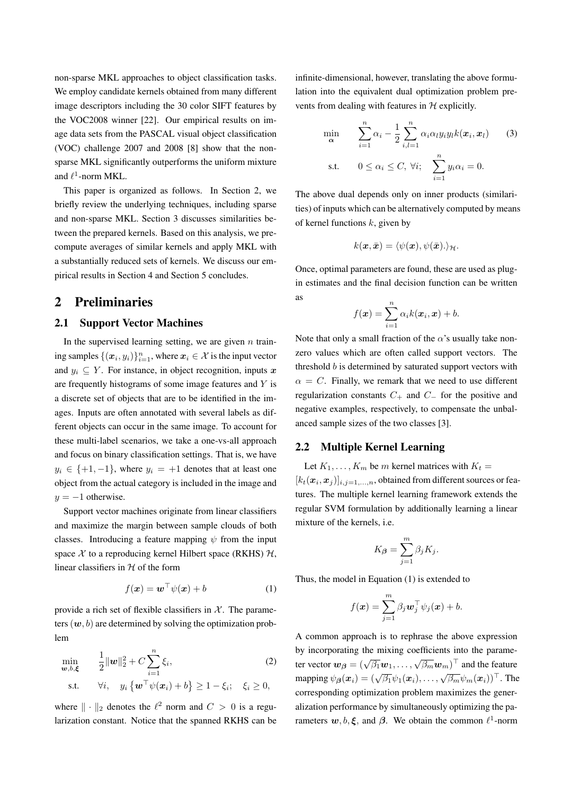non-sparse MKL approaches to object classification tasks. We employ candidate kernels obtained from many different image descriptors including the 30 color SIFT features by the VOC2008 winner [22]. Our empirical results on image data sets from the PASCAL visual object classification (VOC) challenge 2007 and 2008 [8] show that the nonsparse MKL significantly outperforms the uniform mixture and  $\ell^1$ -norm MKL.

This paper is organized as follows. In Section 2, we briefly review the underlying techniques, including sparse and non-sparse MKL. Section 3 discusses similarities between the prepared kernels. Based on this analysis, we precompute averages of similar kernels and apply MKL with a substantially reduced sets of kernels. We discuss our empirical results in Section 4 and Section 5 concludes.

### 2 Preliminaries

#### 2.1 Support Vector Machines

In the supervised learning setting, we are given *n* train- $\{(\boldsymbol{x}_i, y_i)\}_{i=1}^n$ , where  $\boldsymbol{x}_i \in \mathcal{X}$  is the input vector and  $y_i \subseteq Y$ . For instance, in object recognition, inputs x are frequently histograms of some image features and *Y* is a discrete set of objects that are to be identified in the images. Inputs are often annotated with several labels as different objects can occur in the same image. To account for these multi-label scenarios, we take a one-vs-all approach and focus on binary classification settings. That is, we have  $y_i \in \{+1, -1\}$ , where  $y_i = +1$  denotes that at least one object from the actual category is included in the image and *y* = *−*1 otherwise.

Support vector machines originate from linear classifiers and maximize the margin between sample clouds of both classes. Introducing a feature mapping  $\psi$  from the input space  $X$  to a reproducing kernel Hilbert space (RKHS)  $H$ , linear classifiers in *H* of the form

$$
f(\boldsymbol{x}) = \boldsymbol{w}^\top \psi(\boldsymbol{x}) + b \tag{1}
$$

provide a rich set of flexible classifiers in  $X$ . The parameters  $(w, b)$  are determined by solving the optimization problem

$$
\min_{\mathbf{w},b,\xi} \qquad \frac{1}{2} \|\mathbf{w}\|_2^2 + C \sum_{i=1}^n \xi_i, \tag{2}
$$
\n
$$
\text{s.t.} \qquad \forall i, \quad y_i \left\{ \mathbf{w}^\top \psi(\mathbf{x}_i) + b \right\} \ge 1 - \xi_i; \quad \xi_i \ge 0,
$$

where  $\|\cdot\|_2$  denotes the  $\ell^2$  norm and  $C > 0$  is a regularization constant. Notice that the spanned RKHS can be infinite-dimensional, however, translating the above formulation into the equivalent dual optimization problem prevents from dealing with features in *H* explicitly.

$$
\min_{\mathbf{\alpha}} \qquad \sum_{i=1}^{n} \alpha_i - \frac{1}{2} \sum_{i,l=1}^{n} \alpha_i \alpha_l y_i y_l k(\boldsymbol{x}_i, \boldsymbol{x}_l) \qquad (3)
$$
\n
$$
\text{s.t.} \qquad 0 \le \alpha_i \le C, \ \forall i; \quad \sum_{i=1}^{n} y_i \alpha_i = 0.
$$

The above dual depends only on inner products (similarities) of inputs which can be alternatively computed by means of kernel functions *k*, given by

$$
k(\boldsymbol{x},\bar{\boldsymbol{x}})=\langle \psi(\boldsymbol{x}),\psi(\bar{\boldsymbol{x}}).\rangle_{\mathcal{H}}.
$$

Once, optimal parameters are found, these are used as plugin estimates and the final decision function can be written as

$$
f(\boldsymbol{x}) = \sum_{i=1}^n \alpha_i k(\boldsymbol{x}_i, \boldsymbol{x}) + b.
$$

Note that only a small fraction of the  $\alpha$ 's usually take nonzero values which are often called support vectors. The threshold *b* is determined by saturated support vectors with  $\alpha = C$ . Finally, we remark that we need to use different regularization constants  $C_+$  and  $C_-$  for the positive and negative examples, respectively, to compensate the unbalanced sample sizes of the two classes [3].

#### 2.2 Multiple Kernel Learning

Let  $K_1, \ldots, K_m$  be *m* kernel matrices with  $K_t =$  $[k_t(\mathbf{x}_i, \mathbf{x}_j)]_{i,j=1,\ldots,n}$ , obtained from different sources or features. The multiple kernel learning framework extends the regular SVM formulation by additionally learning a linear mixture of the kernels, i.e.

$$
K_{\beta} = \sum_{j=1}^{m} \beta_j K_j.
$$

Thus, the model in Equation (1) is extended to

$$
f(\boldsymbol{x}) = \sum_{j=1}^m \beta_j \boldsymbol{w}_j^\top \psi_j(\boldsymbol{x}) + b.
$$

A common approach is to rephrase the above expression by incorporating the mixing coefficients into the parameter vector  $\mathbf{w}_{\beta} = (\sqrt{\beta_1} \mathbf{w}_1, \dots, \sqrt{\beta_m} \mathbf{w}_m)^{\top}$  and the feature mapping  $\psi_B(\mathbf{x}_i) = (\sqrt{\beta_1}\psi_1(\mathbf{x}_i), \dots, \sqrt{\beta_m}\psi_m(\mathbf{x}_i))^{\top}$ . The corresponding optimization problem maximizes the generalization performance by simultaneously optimizing the parameters  $w, b, \xi$ , and  $\beta$ . We obtain the common  $\ell^1$ -norm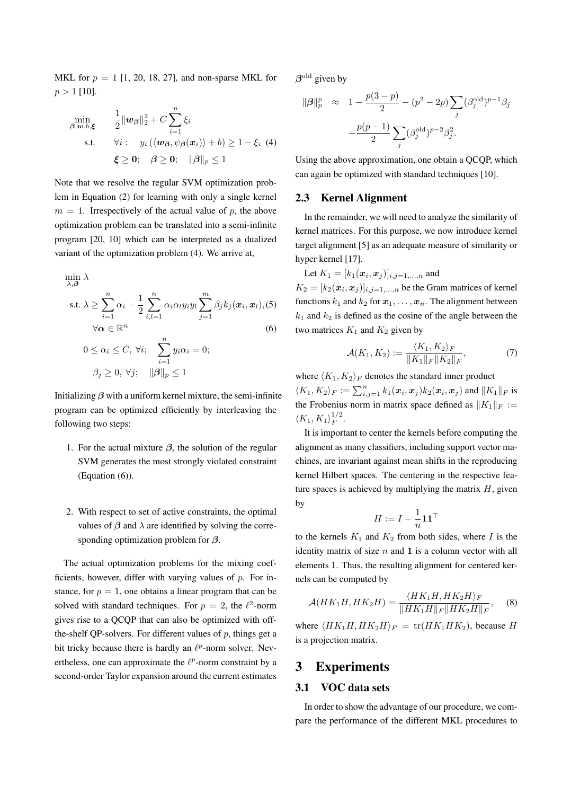MKL for  $p = 1$  [1, 20, 18, 27], and non-sparse MKL for  $p > 1$  [10].

$$
\min_{\beta, w, b, \xi} \quad \frac{1}{2} \|w_{\beta}\|_{2}^{2} + C \sum_{i=1}^{n} \xi_{i}
$$
\n
$$
\text{s.t.} \quad \forall i: \quad y_{i} (\langle w_{\beta}, \psi_{\beta}(x_{i}) \rangle + b) \ge 1 - \xi_{i} \tag{4}
$$
\n
$$
\xi \ge 0; \quad \beta \ge 0; \quad ||\beta||_{p} \le 1
$$

Note that we resolve the regular SVM optimization problem in Equation (2) for learning with only a single kernel  $m = 1$ . Irrespectively of the actual value of *p*, the above optimization problem can be translated into a semi-infinite program [20, 10] which can be interpreted as a dualized variant of the optimization problem (4). We arrive at,

$$
\min_{\lambda,\beta} \lambda
$$
\n
$$
\text{s.t. } \lambda \ge \sum_{i=1}^{n} \alpha_i - \frac{1}{2} \sum_{i,l=1}^{n} \alpha_i \alpha_l y_i y_l \sum_{j=1}^{m} \beta_j k_j (\boldsymbol{x}_i, \boldsymbol{x}_l), (5)
$$
\n
$$
\forall \alpha \in \mathbb{R}^n
$$
\n
$$
0 \le \alpha_i \le C, \forall i; \sum_{i=1}^{n} y_i \alpha_i = 0;
$$
\n
$$
\beta_j \ge 0, \forall j; \quad ||\beta||_p \le 1
$$

Initializing  $\beta$  with a uniform kernel mixture, the semi-infinite program can be optimized efficiently by interleaving the following two steps:

- 1. For the actual mixture  $\beta$ , the solution of the regular SVM generates the most strongly violated constraint (Equation (6)).
- 2. With respect to set of active constraints, the optimal values of  $\beta$  and  $\lambda$  are identified by solving the corresponding optimization problem for *β*.

The actual optimization problems for the mixing coefficients, however, differ with varying values of *p*. For instance, for  $p = 1$ , one obtains a linear program that can be solved with standard techniques. For  $p = 2$ , the  $\ell^2$ -norm gives rise to a QCQP that can also be optimized with offthe-shelf QP-solvers. For different values of *p*, things get a bit tricky because there is hardly an  $\ell^p$ -norm solver. Nevertheless, one can approximate the  $\ell^p$ -norm constraint by a second-order Taylor expansion around the current estimates  $\beta$ <sup>old</sup> given by

$$
\begin{array}{rcl} \|\beta\|_p^p & \approx & 1 - \frac{p(3-p)}{2} - (p^2 - 2p) \sum_j (\beta_j^{\rm old})^{p-1} \beta_j \\ & & + \frac{p(p-1)}{2} \sum_j (\beta_j^{\rm old})^{p-2} \beta_j^2. \end{array}
$$

Using the above approximation, one obtain a QCQP, which can again be optimized with standard techniques [10].

### 2.3 Kernel Alignment

In the remainder, we will need to analyze the similarity of kernel matrices. For this purpose, we now introduce kernel target alignment [5] as an adequate measure of similarity or hyper kernel [17].

Let  $K_1 = [k_1(\bm{x}_i, \bm{x}_j)]_{i,j=1,...,n}$  and

 $K_2 = [k_2(\mathbf{x}_i, \mathbf{x}_j)]_{i,j=1,\ldots,n}$  be the Gram matrices of kernel functions  $k_1$  and  $k_2$  for  $x_1, \ldots, x_n$ . The alignment between  $k_1$  and  $k_2$  is defined as the cosine of the angle between the two matrices  $K_1$  and  $K_2$  given by

$$
\mathcal{A}(K_1, K_2) := \frac{\langle K_1, K_2 \rangle_F}{\|K_1\|_F \|K_2\|_F},\tag{7}
$$

where  $\langle K_1, K_2 \rangle_F$  denotes the standard inner product  $\langle K_1, K_2 \rangle_F := \sum_{i,j=1}^n k_1(\boldsymbol{x}_i, \boldsymbol{x}_j) k_2(\boldsymbol{x}_i, \boldsymbol{x}_j)$  and  $\|K_1\|_F$  is the Frobenius norm in matrix space defined as  $||K_1||_F :=$  $\langle K_1, K_1 \rangle_F^{1/2}$  $\frac{1}{F}$ .

It is important to center the kernels before computing the alignment as many classifiers, including support vector machines, are invariant against mean shifts in the reproducing kernel Hilbert spaces. The centering in the respective feature spaces is achieved by multiplying the matrix *H*, given by

$$
H:=I-\frac{1}{n}\mathbf{1}\mathbf{1}^\top
$$

to the kernels  $K_1$  and  $K_2$  from both sides, where *I* is the identity matrix of size *n* and **1** is a column vector with all elements 1. Thus, the resulting alignment for centered kernels can be computed by

$$
\mathcal{A}(HK_1H, HK_2H) = \frac{\langle HK_1H, HK_2H \rangle_F}{\|HK_1H\|_F\|HK_2H\|_F}, \quad (8)
$$

where  $\langle HK_1H, HK_2H \rangle_F = \text{tr}(HK_1HK_2)$ , because *H* is a projection matrix.

### 3 Experiments

### 3.1 VOC data sets

In order to show the advantage of our procedure, we compare the performance of the different MKL procedures to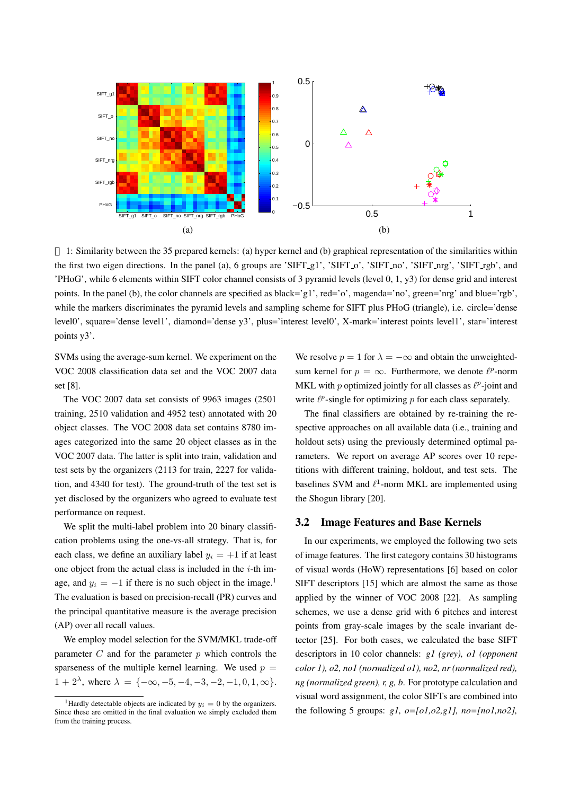

1: Similarity between the 35 prepared kernels: (a) hyper kernel and (b) graphical representation of the similarities within the first two eigen directions. In the panel (a), 6 groups are 'SIFT\_g1', 'SIFT\_o', 'SIFT\_no', 'SIFT\_ng', 'SIFT\_rgb', and 'PHoG', while 6 elements within SIFT color channel consists of 3 pyramid levels (level 0, 1, y3) for dense grid and interest points. In the panel (b), the color channels are specified as black='g1', red='o', magenda='no', green='nrg' and blue='rgb', while the markers discriminates the pyramid levels and sampling scheme for SIFT plus PHoG (triangle), i.e. circle='dense level0', square='dense level1', diamond='dense y3', plus='interest level0', X-mark='interest points level1', star='interest points y3'.

SVMs using the average-sum kernel. We experiment on the VOC 2008 classification data set and the VOC 2007 data set [8].

The VOC 2007 data set consists of 9963 images (2501 training, 2510 validation and 4952 test) annotated with 20 object classes. The VOC 2008 data set contains 8780 images categorized into the same 20 object classes as in the VOC 2007 data. The latter is split into train, validation and test sets by the organizers (2113 for train, 2227 for validation, and 4340 for test). The ground-truth of the test set is yet disclosed by the organizers who agreed to evaluate test performance on request.

We split the multi-label problem into 20 binary classification problems using the one-vs-all strategy. That is, for each class, we define an auxiliary label  $y_i = +1$  if at least one object from the actual class is included in the *i*-th image, and  $y_i = -1$  if there is no such object in the image.<sup>1</sup> The evaluation is based on precision-recall (PR) curves and the principal quantitative measure is the average precision (AP) over all recall values.

We employ model selection for the SVM/MKL trade-off parameter *C* and for the parameter *p* which controls the sparseness of the multiple kernel learning. We used  $p =$  $1 + 2^{\lambda}$ , where  $\lambda = \{-\infty, -5, -4, -3, -2, -1, 0, 1, \infty\}.$ 

We resolve  $p = 1$  for  $\lambda = -\infty$  and obtain the unweightedsum kernel for  $p = \infty$ . Furthermore, we denote  $\ell^p$ -norm MKL with *p* optimized jointly for all classes as  $\ell^p$ -joint and write  $\ell^p$ -single for optimizing *p* for each class separately.

The final classifiers are obtained by re-training the respective approaches on all available data (i.e., training and holdout sets) using the previously determined optimal parameters. We report on average AP scores over 10 repetitions with different training, holdout, and test sets. The baselines SVM and *ℓ* 1 -norm MKL are implemented using the Shogun library [20].

#### 3.2 Image Features and Base Kernels

In our experiments, we employed the following two sets of image features. The first category contains 30 histograms of visual words (HoW) representations [6] based on color SIFT descriptors [15] which are almost the same as those applied by the winner of VOC 2008 [22]. As sampling schemes, we use a dense grid with 6 pitches and interest points from gray-scale images by the scale invariant detector [25]. For both cases, we calculated the base SIFT descriptors in 10 color channels: *g1 (grey), o1 (opponent color 1), o2, no1 (normalized o1), no2, nr (normalized red), ng (normalized green), r, g, b*. For prototype calculation and visual word assignment, the color SIFTs are combined into the following 5 groups: *g1, o=[o1,o2,g1], no=[no1,no2],*

<sup>&</sup>lt;sup>1</sup>Hardly detectable objects are indicated by  $y_i = 0$  by the organizers. Since these are omitted in the final evaluation we simply excluded them from the training process.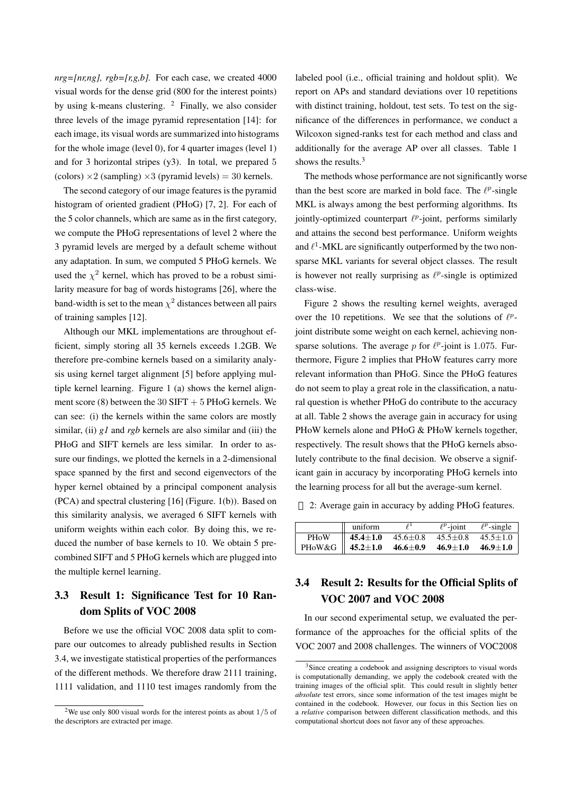$nrg=[nr,ng], rgb=[r,g,b].$  For each case, we created 4000 visual words for the dense grid (800 for the interest points) by using k-means clustering.  $2$  Finally, we also consider three levels of the image pyramid representation [14]: for each image, its visual words are summarized into histograms for the whole image (level 0), for 4 quarter images (level 1) and for 3 horizontal stripes (y3). In total, we prepared 5 (colors)  $\times$ 2 (sampling)  $\times$ 3 (pyramid levels) = 30 kernels.

The second category of our image features is the pyramid histogram of oriented gradient (PHoG) [7, 2]. For each of the 5 color channels, which are same as in the first category, we compute the PHoG representations of level 2 where the 3 pyramid levels are merged by a default scheme without any adaptation. In sum, we computed 5 PHoG kernels. We used the  $\chi^2$  kernel, which has proved to be a robust similarity measure for bag of words histograms [26], where the band-width is set to the mean  $\chi^2$  distances between all pairs of training samples [12].

Although our MKL implementations are throughout efficient, simply storing all 35 kernels exceeds 1.2GB. We therefore pre-combine kernels based on a similarity analysis using kernel target alignment [5] before applying multiple kernel learning. Figure 1 (a) shows the kernel alignment score (8) between the 30 SIFT  $+5$  PHoG kernels. We can see: (i) the kernels within the same colors are mostly similar, (ii) *g1* and *rgb* kernels are also similar and (iii) the PHoG and SIFT kernels are less similar. In order to assure our findings, we plotted the kernels in a 2-dimensional space spanned by the first and second eigenvectors of the hyper kernel obtained by a principal component analysis (PCA) and spectral clustering [16] (Figure. 1(b)). Based on this similarity analysis, we averaged 6 SIFT kernels with uniform weights within each color. By doing this, we reduced the number of base kernels to 10. We obtain 5 precombined SIFT and 5 PHoG kernels which are plugged into the multiple kernel learning.

# 3.3 Result 1: Significance Test for 10 Random Splits of VOC 2008

Before we use the official VOC 2008 data split to compare our outcomes to already published results in Section 3.4, we investigate statistical properties of the performances of the different methods. We therefore draw 2111 training, 1111 validation, and 1110 test images randomly from the labeled pool (i.e., official training and holdout split). We report on APs and standard deviations over 10 repetitions with distinct training, holdout, test sets. To test on the significance of the differences in performance, we conduct a Wilcoxon signed-ranks test for each method and class and additionally for the average AP over all classes. Table 1 shows the results.<sup>3</sup>

The methods whose performance are not significantly worse than the best score are marked in bold face. The  $\ell^p$ -single MKL is always among the best performing algorithms. Its jointly-optimized counterpart  $ℓ<sup>p</sup>$ -joint, performs similarly and attains the second best performance. Uniform weights and  $\ell$ <sup>1</sup>-MKL are significantly outperformed by the two nonsparse MKL variants for several object classes. The result is however not really surprising as  $\ell^p$ -single is optimized class-wise.

Figure 2 shows the resulting kernel weights, averaged over the 10 repetitions. We see that the solutions of  $ℓP$ joint distribute some weight on each kernel, achieving nonsparse solutions. The average  $p$  for  $\ell^p$ -joint is 1.075. Furthermore, Figure 2 implies that PHoW features carry more relevant information than PHoG. Since the PHoG features do not seem to play a great role in the classification, a natural question is whether PHoG do contribute to the accuracy at all. Table 2 shows the average gain in accuracy for using PHoW kernels alone and PHoG & PHoW kernels together, respectively. The result shows that the PHoG kernels absolutely contribute to the final decision. We observe a significant gain in accuracy by incorporating PHoG kernels into the learning process for all but the average-sum kernel.

2: Average gain in accuracy by adding PHoG features.

|             | uniform                           |                | $\ell^p$ -joint               | $\ell^p$ -single |
|-------------|-----------------------------------|----------------|-------------------------------|------------------|
| <b>PHoW</b> | 45.4 $\pm1.0$                     | $45.6 \pm 0.8$ | $45.5 \pm 0.8$ $45.5 \pm 1.0$ |                  |
|             | PHoW&G $\parallel$ 45.2 $\pm$ 1.0 | 46.6 $\pm$ 0.9 | $46.9 \pm 1.0$ $46.9 \pm 1.0$ |                  |

# 3.4 Result 2: Results for the Official Splits of VOC 2007 and VOC 2008

In our second experimental setup, we evaluated the performance of the approaches for the official splits of the VOC 2007 and 2008 challenges. The winners of VOC2008

<sup>2</sup>We use only 800 visual words for the interest points as about 1*/*5 of the descriptors are extracted per image.

<sup>3</sup>Since creating a codebook and assigning descriptors to visual words is computationally demanding, we apply the codebook created with the training images of the official split. This could result in slightly better *absolute* test errors, since some information of the test images might be contained in the codebook. However, our focus in this Section lies on a *relative* comparison between different classification methods, and this computational shortcut does not favor any of these approaches.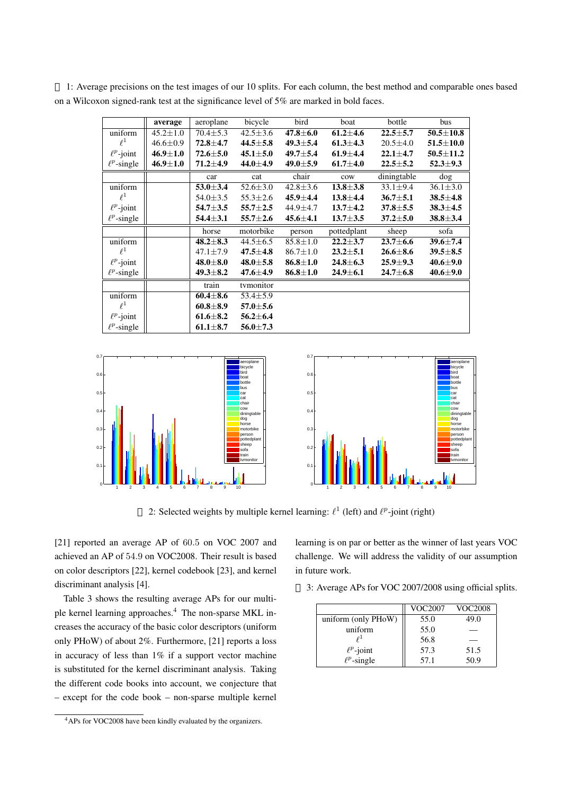|                  | average        | aeroplane      | bicycle        | bird                      | boat           | bottle         | bus             |
|------------------|----------------|----------------|----------------|---------------------------|----------------|----------------|-----------------|
| uniform          | $45.2 \pm 1.0$ | $70.4 \pm 5.3$ | $42.5 \pm 3.6$ | $47.8 \pm 6.0$            | $61.2 \pm 4.6$ | $22.5 + 5.7$   | $50.5 \pm 10.8$ |
| $\ell^1$         | $46.6 \pm 0.9$ | $72.8 \pm 4.7$ | $44.5 \pm 5.8$ | $49.3 \pm 5.4$            | $61.3 \pm 4.3$ | $20.5 \pm 4.0$ | $51.5 \pm 10.0$ |
| $\ell^p$ -joint  | $46.9 \pm 1.0$ | $72.6 \pm 5.0$ | $45.1 \pm 5.0$ | $49.7 \pm 5.4$            | $61.9 \pm 4.4$ | $22.1 \pm 4.7$ | $50.5 \pm 11.2$ |
| $\ell^p$ -single | $46.9 \pm 1.0$ | $71.2 \pm 4.9$ | 44.0±4.9       | $49.0 \pm 5.9$            | $61.7 \pm 4.0$ | $22.5 \pm 5.2$ | $52.3 \pm 9.3$  |
|                  |                | car            | cat            | chair                     | cow            | diningtable    | dog             |
| uniform          |                | $53.0 \pm 3.4$ | $52.6 \pm 3.0$ | $42.8 \pm 3.6$            | $13.8 \pm 3.8$ | $33.1 \pm 9.4$ | $36.1 \pm 3.0$  |
| $\ell^1$         |                | $54.0 \pm 3.5$ | $55.3 \pm 2.6$ | $45.9 \pm 4.4$            | $13.8 + 4.4$   | $36.7 \pm 5.1$ | $38.5 \pm 4.8$  |
| $\ell^p$ -joint  |                | 54.7 $\pm 3.5$ | $55.7 \pm 2.5$ | 44.9±4.7                  | $13.7 + 4.2$   | $37.8 \pm 5.5$ | $38.3 \pm 4.5$  |
| $\ell^p$ -single |                | $54.4 \pm 3.1$ | $55.7 \pm 2.6$ | $45.6 \pm 4.1$            | $13.7 + 3.5$   | $37.2 \pm 5.0$ | $38.8 \pm 3.4$  |
|                  |                | horse          | motorbike      | person                    | pottedplant    | sheep          | sofa            |
| uniform          |                | $48.2 \pm 8.3$ | $44.5 \pm 6.5$ | $\overline{85.8} \pm 1.0$ | $22.2 \pm 3.7$ | $23.7 \pm 6.6$ | 39.6±7.4        |
| $\ell^1$         |                | $47.1 \pm 7.9$ | $47.5 \pm 4.8$ | $86.7 \pm 1.0$            | $23.2 \pm 5.1$ | $26.6 \pm 8.6$ | $39.5 \pm 8.5$  |
| $\ell^p$ -joint  |                | $48.0 \pm 8.0$ | $48.0 \pm 5.8$ | $86.8 \pm 1.0$            | $24.8 \pm 6.3$ | $25.9 \pm 9.3$ | 40.6±9.0        |
| $\ell^p$ -single |                | $49.3 \pm 8.2$ | 47.6±4.9       | $86.8 \pm 1.0$            | $24.9 \pm 6.1$ | $24.7 \pm 6.8$ | $40.6 \pm 9.0$  |
|                  |                | train          | tymonitor      |                           |                |                |                 |
| uniform          |                | $60.4 \pm 8.6$ | $53.4 \pm 5.9$ |                           |                |                |                 |
| $\ell^1$         |                | $60.8 \pm 8.9$ | $57.0 \pm 5.6$ |                           |                |                |                 |
| $\ell^p$ -joint  |                | $61.6 \pm 8.2$ | $56.2 \pm 6.4$ |                           |                |                |                 |
| $\ell^p$ -single |                | $61.1 \pm 8.7$ | $56.0 \pm 7.3$ |                           |                |                |                 |

1: Average precisions on the test images of our 10 splits. For each column, the best method and comparable ones based on a Wilcoxon signed-rank test at the significance level of 5% are marked in bold faces.





2: Selected weights by multiple kernel learning:  $\ell^1$  (left) and  $\ell^p$ -joint (right)

[21] reported an average AP of 60*.*5 on VOC 2007 and achieved an AP of 54*.*9 on VOC2008. Their result is based on color descriptors [22], kernel codebook [23], and kernel discriminant analysis [4].

Table 3 shows the resulting average APs for our multiple kernel learning approaches.<sup>4</sup> The non-sparse MKL increases the accuracy of the basic color descriptors (uniform only PHoW) of about 2%. Furthermore, [21] reports a loss in accuracy of less than 1% if a support vector machine is substituted for the kernel discriminant analysis. Taking the different code books into account, we conjecture that – except for the code book – non-sparse multiple kernel learning is on par or better as the winner of last years VOC challenge. We will address the validity of our assumption in future work.

3: Average APs for VOC 2007/2008 using official splits.

|                     | <b>VOC2007</b> | <b>VOC2008</b> |
|---------------------|----------------|----------------|
| uniform (only PHoW) | 55.0           | 49.0           |
| uniform             | 55.0           |                |
| $\ell^1$            | 56.8           |                |
| $\ell^p$ -joint     | 57.3           | 51.5           |
| $\ell^p$ -single    | 57.1           | 50.9           |

<sup>4</sup>APs for VOC2008 have been kindly evaluated by the organizers.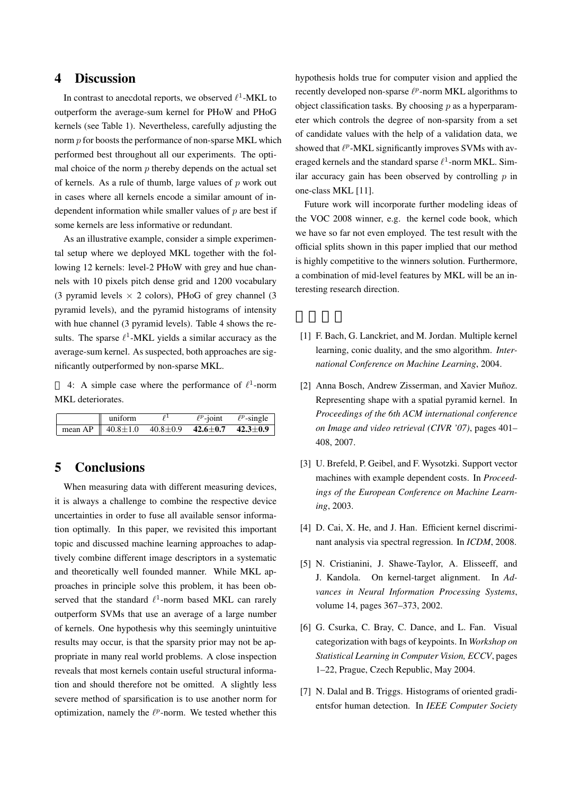# 4 Discussion

In contrast to anecdotal reports, we observed *ℓ* 1 -MKL to outperform the average-sum kernel for PHoW and PHoG kernels (see Table 1). Nevertheless, carefully adjusting the norm *p* for boosts the performance of non-sparse MKL which performed best throughout all our experiments. The optimal choice of the norm  $p$  thereby depends on the actual set of kernels. As a rule of thumb, large values of *p* work out in cases where all kernels encode a similar amount of independent information while smaller values of *p* are best if some kernels are less informative or redundant.

As an illustrative example, consider a simple experimental setup where we deployed MKL together with the following 12 kernels: level-2 PHoW with grey and hue channels with 10 pixels pitch dense grid and 1200 vocabulary (3 pyramid levels *×* 2 colors), PHoG of grey channel (3 pyramid levels), and the pyramid histograms of intensity with hue channel (3 pyramid levels). Table 4 shows the results. The sparse  $\ell^1$ -MKL yields a similar accuracy as the average-sum kernel. As suspected, both approaches are significantly outperformed by non-sparse MKL.

4: A simple case where the performance of  $\ell^1$ -norm MKL deteriorates.

| uniform                                                                |  | $\ell^p$ -joint $\ell^p$ -single |
|------------------------------------------------------------------------|--|----------------------------------|
| mean AP    $40.8 \pm 1.0$ $40.8 \pm 0.9$ $42.6 \pm 0.7$ $42.3 \pm 0.9$ |  |                                  |

### 5 Conclusions

When measuring data with different measuring devices, it is always a challenge to combine the respective device uncertainties in order to fuse all available sensor information optimally. In this paper, we revisited this important topic and discussed machine learning approaches to adaptively combine different image descriptors in a systematic and theoretically well founded manner. While MKL approaches in principle solve this problem, it has been observed that the standard  $\ell^1$ -norm based MKL can rarely outperform SVMs that use an average of a large number of kernels. One hypothesis why this seemingly unintuitive results may occur, is that the sparsity prior may not be appropriate in many real world problems. A close inspection reveals that most kernels contain useful structural information and should therefore not be omitted. A slightly less severe method of sparsification is to use another norm for optimization, namely the  $\ell^p$ -norm. We tested whether this

hypothesis holds true for computer vision and applied the recently developed non-sparse  $\ell^p$ -norm MKL algorithms to object classification tasks. By choosing *p* as a hyperparameter which controls the degree of non-sparsity from a set of candidate values with the help of a validation data, we showed that  $\ell^p$ -MKL significantly improves SVMs with averaged kernels and the standard sparse  $\ell$ <sup>1</sup>-norm MKL. Similar accuracy gain has been observed by controlling *p* in one-class MKL [11].

Future work will incorporate further modeling ideas of the VOC 2008 winner, e.g. the kernel code book, which we have so far not even employed. The test result with the official splits shown in this paper implied that our method is highly competitive to the winners solution. Furthermore, a combination of mid-level features by MKL will be an interesting research direction.

- [1] F. Bach, G. Lanckriet, and M. Jordan. Multiple kernel learning, conic duality, and the smo algorithm. *International Conference on Machine Learning*, 2004.
- [2] Anna Bosch, Andrew Zisserman, and Xavier Muñoz. Representing shape with a spatial pyramid kernel. In *Proceedings of the 6th ACM international conference on Image and video retrieval (CIVR '07)*, pages 401– 408, 2007.
- [3] U. Brefeld, P. Geibel, and F. Wysotzki. Support vector machines with example dependent costs. In *Proceedings of the European Conference on Machine Learning*, 2003.
- [4] D. Cai, X. He, and J. Han. Efficient kernel discriminant analysis via spectral regression. In *ICDM*, 2008.
- [5] N. Cristianini, J. Shawe-Taylor, A. Elisseeff, and J. Kandola. On kernel-target alignment. In *Advances in Neural Information Processing Systems*, volume 14, pages 367–373, 2002.
- [6] G. Csurka, C. Bray, C. Dance, and L. Fan. Visual categorization with bags of keypoints. In *Workshop on Statistical Learning in Computer Vision, ECCV*, pages 1–22, Prague, Czech Republic, May 2004.
- [7] N. Dalal and B. Triggs. Histograms of oriented gradientsfor human detection. In *IEEE Computer Society*